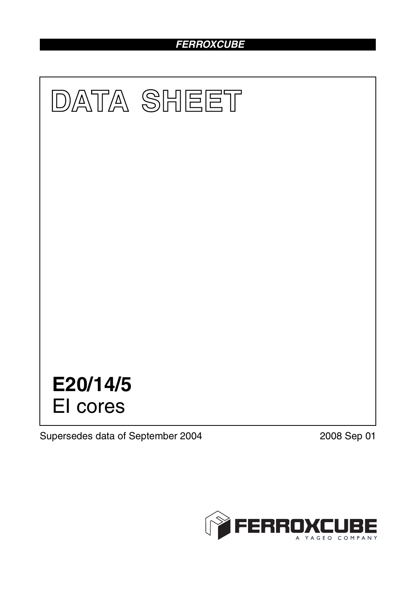# *FERROXCUBE*



Supersedes data of September 2004 2008 Sep 01

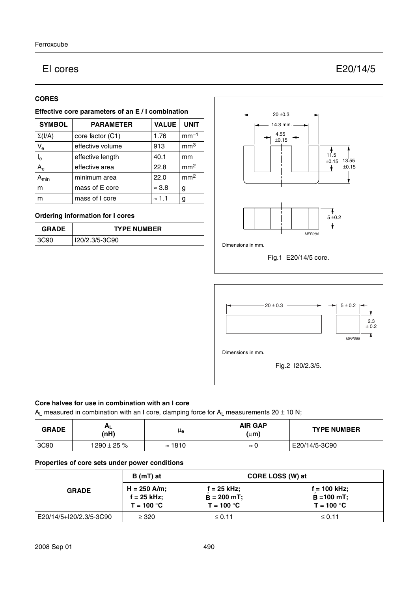# EI cores E20/14/5

# **CORES**

# **Effective core parameters of an E / I combination**

| <b>SYMBOL</b>           | <b>PARAMETER</b> | <b>VALUE</b>  | <b>UNIT</b>     |
|-------------------------|------------------|---------------|-----------------|
| $\Sigma(I/A)$           | core factor (C1) | 1.76          | $mm-1$          |
| $V_{e}$                 | effective volume | 913           | mm <sup>3</sup> |
| $\mathsf{I}_\mathsf{e}$ | effective length | 40.1          | mm              |
| $A_{\rm e}$             | effective area   | 22.8          | mm <sup>2</sup> |
| <b>A</b> min            | minimum area     | 22.0          | mm <sup>2</sup> |
| m                       | mass of E core   | $\approx 3.8$ | g               |
| m                       | mass of I core   | $\approx$ 1.1 | g               |

# **Ordering information for I cores**

| <b>GRADE</b> | <b>TYPE NUMBER</b> |  |
|--------------|--------------------|--|
| 3C90         | I20/2.3/5-3C90     |  |





#### **Core halves for use in combination with an I core**

 $A_L$  measured in combination with an I core, clamping force for  $A_L$  measurements 20  $\pm$  10 N;

| <b>GRADE</b> | <b>AL</b><br>(nH) | μe             | <b>AIR GAP</b><br>(µ <b>m</b> ) | <b>TYPE NUMBER</b> |
|--------------|-------------------|----------------|---------------------------------|--------------------|
| 3C90         | $1290 \pm 25 \%$  | $\approx$ 1810 | $\approx$<br>u                  | E20/14/5-3C90      |

# **Properties of core sets under power conditions**

| <b>GRADE</b>            | $B(mT)$ at                                    | CORE LOSS (W) at                                     |                                                       |  |
|-------------------------|-----------------------------------------------|------------------------------------------------------|-------------------------------------------------------|--|
|                         | $H = 250$ A/m;<br>f = 25 kHz;<br>$T = 100 °C$ | $f = 25$ kHz;<br>$\hat{B}$ = 200 mT;<br>$T = 100 °C$ | $f = 100$ kHz;<br>$\hat{B} = 100$ mT;<br>$T = 100 °C$ |  |
| E20/14/5+I20/2.3/5-3C90 | $\geq 320$                                    | $\leq 0.11$                                          | $\leq$ 0.11                                           |  |